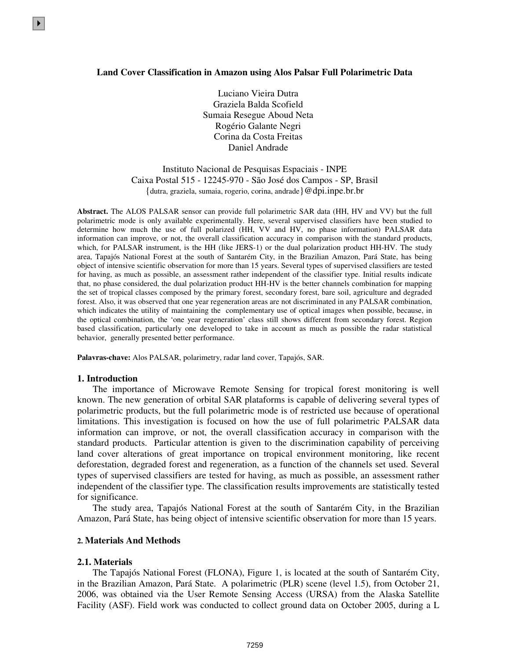#### **Land Cover Classification in Amazon using Alos Palsar Full Polarimetric Data**

Luciano Vieira Dutra Graziela Balda Scofield Sumaia Resegue Aboud Neta Rogério Galante Negri Corina da Costa Freitas Daniel Andrade

Instituto Nacional de Pesquisas Espaciais - INPE Caixa Postal 515 - 12245-970 - São José dos Campos - SP, Brasil {dutra, graziela, sumaia, rogerio, corina, andrade}@dpi.inpe.br.br

**Abstract.** The ALOS PALSAR sensor can provide full polarimetric SAR data (HH, HV and VV) but the full polarimetric mode is only available experimentally. Here, several supervised classifiers have been studied to determine how much the use of full polarized (HH, VV and HV, no phase information) PALSAR data information can improve, or not, the overall classification accuracy in comparison with the standard products, which, for PALSAR instrument, is the HH (like JERS-1) or the dual polarization product HH-HV. The study area, Tapajós National Forest at the south of Santarém City, in the Brazilian Amazon, Pará State, has being object of intensive scientific observation for more than 15 years. Several types of supervised classifiers are tested for having, as much as possible, an assessment rather independent of the classifier type. Initial results indicate that, no phase considered, the dual polarization product HH-HV is the better channels combination for mapping the set of tropical classes composed by the primary forest, secondary forest, bare soil, agriculture and degraded forest. Also, it was observed that one year regeneration areas are not discriminated in any PALSAR combination, which indicates the utility of maintaining the complementary use of optical images when possible, because, in the optical combination, the 'one year regeneration' class still shows different from secondary forest. Region based classification, particularly one developed to take in account as much as possible the radar statistical behavior, generally presented better performance.

**Palavras-chave:** Alos PALSAR, polarimetry, radar land cover, Tapajós, SAR.

#### **1. Introduction**

 $\blacktriangleright$ 

The importance of Microwave Remote Sensing for tropical forest monitoring is well known. The new generation of orbital SAR plataforms is capable of delivering several types of polarimetric products, but the full polarimetric mode is of restricted use because of operational limitations. This investigation is focused on how the use of full polarimetric PALSAR data information can improve, or not, the overall classification accuracy in comparison with the standard products. Particular attention is given to the discrimination capability of perceiving land cover alterations of great importance on tropical environment monitoring, like recent deforestation, degraded forest and regeneration, as a function of the channels set used. Several types of supervised classifiers are tested for having, as much as possible, an assessment rather independent of the classifier type. The classification results improvements are statistically tested for significance.

The study area, Tapajós National Forest at the south of Santarém City, in the Brazilian Amazon, Pará State, has being object of intensive scientific observation for more than 15 years.

## **2. Materials And Methods**

## **2.1. Materials**

The Tapajós National Forest (FLONA), Figure 1, is located at the south of Santarém City, in the Brazilian Amazon, Pará State. A polarimetric (PLR) scene (level 1.5), from October 21, 2006, was obtained via the User Remote Sensing Access (URSA) from the Alaska Satellite Facility (ASF). Field work was conducted to collect ground data on October 2005, during a L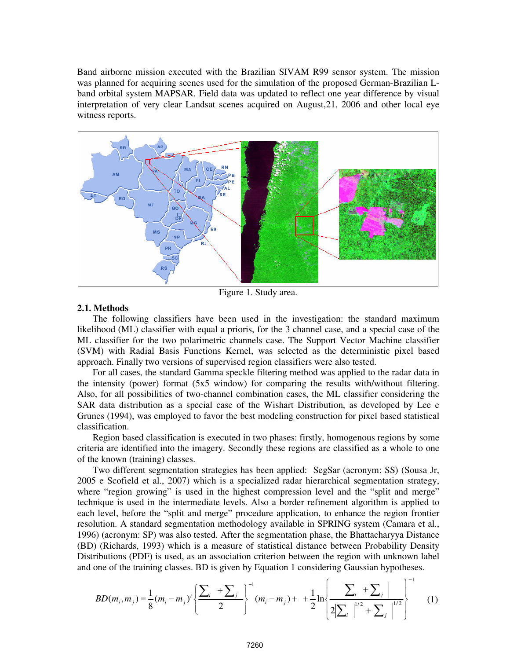Band airborne mission executed with the Brazilian SIVAM R99 sensor system. The mission was planned for acquiring scenes used for the simulation of the proposed German-Brazilian Lband orbital system MAPSAR. Field data was updated to reflect one year difference by visual interpretation of very clear Landsat scenes acquired on August,21, 2006 and other local eye witness reports.



Figure 1. Study area.

## **2.1. Methods**

The following classifiers have been used in the investigation: the standard maximum likelihood (ML) classifier with equal a prioris, for the 3 channel case, and a special case of the ML classifier for the two polarimetric channels case. The Support Vector Machine classifier (SVM) with Radial Basis Functions Kernel, was selected as the deterministic pixel based approach. Finally two versions of supervised region classifiers were also tested.

For all cases, the standard Gamma speckle filtering method was applied to the radar data in the intensity (power) format (5x5 window) for comparing the results with/without filtering. Also, for all possibilities of two-channel combination cases, the ML classifier considering the SAR data distribution as a special case of the Wishart Distribution, as developed by Lee e Grunes (1994), was employed to favor the best modeling construction for pixel based statistical classification.

Region based classification is executed in two phases: firstly, homogenous regions by some criteria are identified into the imagery. Secondly these regions are classified as a whole to one of the known (training) classes.

Two different segmentation strategies has been applied: SegSar (acronym: SS) (Sousa Jr, 2005 e Scofield et al., 2007) which is a specialized radar hierarchical segmentation strategy, where "region growing" is used in the highest compression level and the "split and merge" technique is used in the intermediate levels. Also a border refinement algorithm is applied to each level, before the "split and merge" procedure application, to enhance the region frontier resolution. A standard segmentation methodology available in SPRING system (Camara et al., 1996) (acronym: SP) was also tested. After the segmentation phase, the Bhattacharyya Distance (BD) (Richards, 1993) which is a measure of statistical distance between Probability Density Distributions (PDF) is used, as an association criterion between the region with unknown label and one of the training classes. BD is given by Equation 1 considering Gaussian hypotheses.

$$
BD(m_i, m_j) = \frac{1}{8} (m_i - m_j)^t \left\{ \frac{\sum_i + \sum_j}{2} \right\}^{-1} (m_i - m_j) + \frac{1}{2} \ln \left\{ \frac{\left| \sum_i + \sum_j \right|}{2 \left| \sum_i \right|^{1/2} + \left| \sum_j \right|^{1/2}} \right\}^{-1} (1)
$$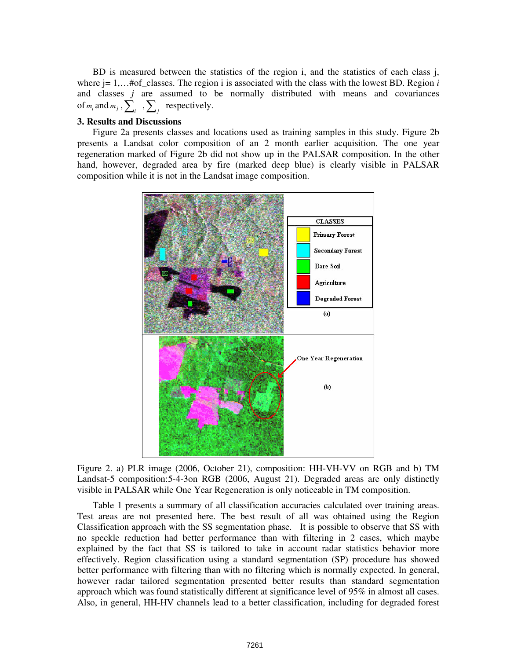BD is measured between the statistics of the region i, and the statistics of each class j, where  $j = 1, \ldots$  #of\_classes. The region *i* is associated with the class with the lowest BD. Region *i* and classes *j* are assumed to be normally distributed with means and covariances of  $m_i$  and  $m_j$ ,  $\sum_i$ ,  $\sum_j$  respectively.

## **3. Results and Discussions**

Figure 2a presents classes and locations used as training samples in this study. Figure 2b presents a Landsat color composition of an 2 month earlier acquisition. The one year regeneration marked of Figure 2b did not show up in the PALSAR composition. In the other hand, however, degraded area by fire (marked deep blue) is clearly visible in PALSAR composition while it is not in the Landsat image composition.



Figure 2. a) PLR image (2006, October 21), composition: HH-VH-VV on RGB and b) TM Landsat-5 composition:5-4-3on RGB (2006, August 21). Degraded areas are only distinctly visible in PALSAR while One Year Regeneration is only noticeable in TM composition.

Table 1 presents a summary of all classification accuracies calculated over training areas. Test areas are not presented here. The best result of all was obtained using the Region Classification approach with the SS segmentation phase. It is possible to observe that SS with no speckle reduction had better performance than with filtering in 2 cases, which maybe explained by the fact that SS is tailored to take in account radar statistics behavior more effectively. Region classification using a standard segmentation (SP) procedure has showed better performance with filtering than with no filtering which is normally expected. In general, however radar tailored segmentation presented better results than standard segmentation approach which was found statistically different at significance level of 95% in almost all cases. Also, in general, HH-HV channels lead to a better classification, including for degraded forest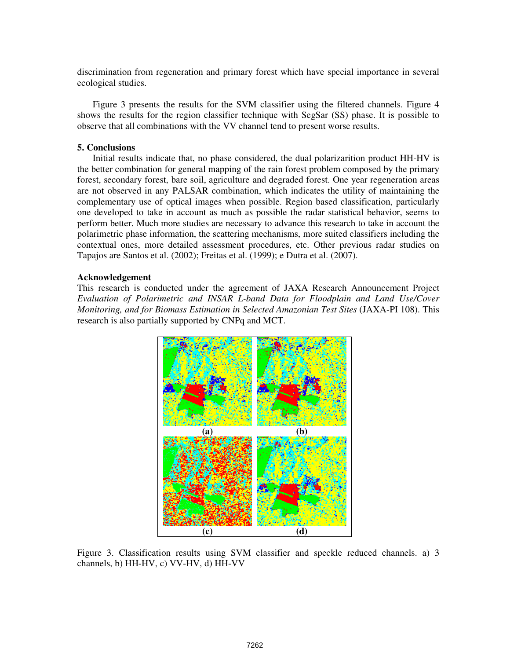discrimination from regeneration and primary forest which have special importance in several ecological studies.

Figure 3 presents the results for the SVM classifier using the filtered channels. Figure 4 shows the results for the region classifier technique with SegSar (SS) phase. It is possible to observe that all combinations with the VV channel tend to present worse results.

# **5. Conclusions**

Initial results indicate that, no phase considered, the dual polarizarition product HH-HV is the better combination for general mapping of the rain forest problem composed by the primary forest, secondary forest, bare soil, agriculture and degraded forest. One year regeneration areas are not observed in any PALSAR combination, which indicates the utility of maintaining the complementary use of optical images when possible. Region based classification, particularly one developed to take in account as much as possible the radar statistical behavior, seems to perform better. Much more studies are necessary to advance this research to take in account the polarimetric phase information, the scattering mechanisms, more suited classifiers including the contextual ones, more detailed assessment procedures, etc. Other previous radar studies on Tapajos are Santos et al. (2002); Freitas et al. (1999); e Dutra et al. (2007).

#### **Acknowledgement**

This research is conducted under the agreement of JAXA Research Announcement Project *Evaluation of Polarimetric and INSAR L-band Data for Floodplain and Land Use/Cover Monitoring, and for Biomass Estimation in Selected Amazonian Test Sites* (JAXA-PI 108). This research is also partially supported by CNPq and MCT.



Figure 3. Classification results using SVM classifier and speckle reduced channels. a) 3 channels, b) HH-HV, c) VV-HV, d) HH-VV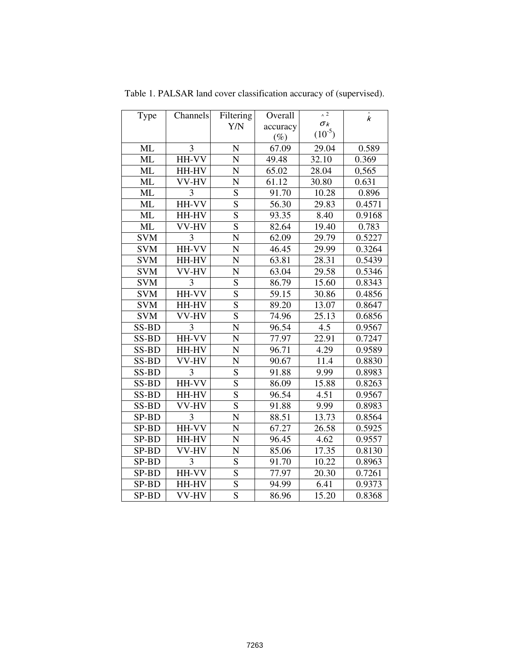| Type       | Channels       | Filtering      | Overall  | $\land$ 2          | $\hat{\textbf{k}}$ |
|------------|----------------|----------------|----------|--------------------|--------------------|
|            |                | Y/N            | accuracy | $\sigma_k$         |                    |
|            |                |                | $(\%)$   | $(10^{-5})$        |                    |
| <b>ML</b>  | 3              | N              | 67.09    | 29.04              | 0.589              |
| <b>ML</b>  | $HH-VV$        | $\mathbf N$    | 49.48    | $\overline{32.10}$ | 0.369              |
| ML         | HH-HV          | $\mathbf N$    | 65.02    | 28.04              | 0,565              |
| ML         | VV-HV          | N              | 61.12    | 30.80              | 0.631              |
| ML         | 3              | S              | 91.70    | 10.28              | 0.896              |
| <b>ML</b>  | HH-VV          | $\overline{S}$ | 56.30    | 29.83              | 0.4571             |
| <b>ML</b>  | HH-HV          | $\overline{S}$ | 93.35    | 8.40               | 0.9168             |
| <b>ML</b>  | VV-HV          | $\overline{S}$ | 82.64    | 19.40              | 0.783              |
| <b>SVM</b> | 3              | N              | 62.09    | 29.79              | 0.5227             |
| <b>SVM</b> | HH-VV          | N              | 46.45    | 29.99              | 0.3264             |
| <b>SVM</b> | HH-HV          | N              | 63.81    | 28.31              | 0.5439             |
| <b>SVM</b> | VV-HV          | N              | 63.04    | 29.58              | 0.5346             |
| <b>SVM</b> | 3              | S              | 86.79    | 15.60              | 0.8343             |
| <b>SVM</b> | $HH-VV$        | $\overline{S}$ | 59.15    | 30.86              | 0.4856             |
| <b>SVM</b> | HH-HV          | $\overline{S}$ | 89.20    | 13.07              | 0.8647             |
| <b>SVM</b> | VV-HV          | $\overline{S}$ | 74.96    | 25.13              | 0.6856             |
| SS-BD      | 3              | N              | 96.54    | 4.5                | 0.9567             |
| SS-BD      | HH-VV          | N              | 77.97    | 22.91              | 0.7247             |
| SS-BD      | HH-HV          | N              | 96.71    | 4.29               | 0.9589             |
| SS-BD      | $\bar{V}V$ -HV | N              | 90.67    | 11.4               | 0.8830             |
| SS-BD      | 3              | S              | 91.88    | 9.99               | 0.8983             |
| SS-BD      | HH-VV          | $\overline{S}$ | 86.09    | 15.88              | 0.8263             |
| SS-BD      | HH-HV          | $\overline{S}$ | 96.54    | 4.51               | 0.9567             |
| SS-BD      | VV-HV          | S              | 91.88    | 9.99               | 0.8983             |
| SP-BD      | 3              | N              | 88.51    | 13.73              | 0.8564             |
| SP-BD      | HH-VV          | N              | 67.27    | 26.58              | 0.5925             |
| SP-BD      | HH-HV          | N              | 96.45    | 4.62               | 0.9557             |
| SP-BD      | VV-HV          | N              | 85.06    | 17.35              | 0.8130             |
| SP-BD      | 3              | S              | 91.70    | 10.22              | 0.8963             |
| SP-BD      | HH-VV          | S              | 77.97    | 20.30              | 0.7261             |
| SP-BD      | HH-HV          | $\overline{S}$ | 94.99    | 6.41               | 0.9373             |
| SP-BD      | VV-HV          | $\overline{S}$ | 86.96    | 15.20              | 0.8368             |

Table 1. PALSAR land cover classification accuracy of (supervised).